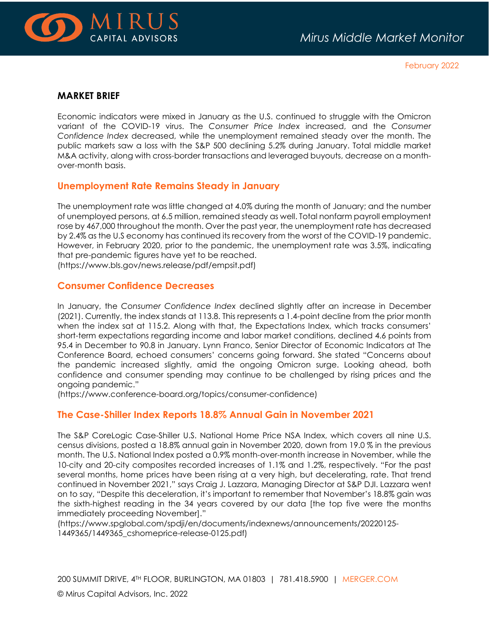

February 2022

#### **MARKET BRIEF**

Economic indicators were mixed in January as the U.S. continued to struggle with the Omicron variant of the COVID-19 virus. The *Consumer Price Index* increased, and the *Consumer Confidence Index* decreased, while the unemployment remained steady over the month. The public markets saw a loss with the S&P 500 declining 5.2% during January. Total middle market M&A activity, along with cross-border transactions and leveraged buyouts, decrease on a monthover-month basis.

### **Unemployment Rate Remains Steady in January**

The unemployment rate was little changed at 4.0% during the month of January; and the number of unemployed persons, at 6.5 million, remained steady as well. Total nonfarm payroll employment rose by 467,000 throughout the month. Over the past year, the unemployment rate has decreased by 2.4% as the U.S economy has continued its recovery from the worst of the COVID-19 pandemic. However, in February 2020, prior to the pandemic, the unemployment rate was 3.5%, indicating that pre-pandemic figures have yet to be reached.

(https://www.bls.gov/news.release/pdf/empsit.pdf)

### **Consumer Confidence Decreases**

In January, the *Consumer Confidence Index* declined slightly after an increase in December (2021). Currently, the index stands at 113.8. This represents a 1.4-point decline from the prior month when the index sat at 115.2. Along with that, the Expectations Index, which tracks consumers' short-term expectations regarding income and labor market conditions, declined 4.6 points from 95.4 in December to 90.8 in January. Lynn Franco, Senior Director of Economic Indicators at The Conference Board, echoed consumers' concerns going forward. She stated "Concerns about the pandemic increased slightly, amid the ongoing Omicron surge. Looking ahead, both confidence and consumer spending may continue to be challenged by rising prices and the ongoing pandemic."

(https://www.conference-board.org/topics/consumer-confidence)

# **The Case-Shiller Index Reports 18.8% Annual Gain in November 2021**

The S&P CoreLogic Case-Shiller U.S. National Home Price NSA Index, which covers all nine U.S. census divisions, posted a 18.8% annual gain in November 2020, down from 19.0 % in the previous month. The U.S. National Index posted a 0.9% month-over-month increase in November, while the 10-city and 20-city composites recorded increases of 1.1% and 1.2%, respectively. "For the past several months, home prices have been rising at a very high, but decelerating, rate. That trend continued in November 2021," says Craig J. Lazzara, Managing Director at S&P DJI. Lazzara went on to say, "Despite this deceleration, it's important to remember that November's 18.8% gain was the sixth-highest reading in the 34 years covered by our data [the top five were the months immediately proceeding November]."

(https://www.spglobal.com/spdji/en/documents/indexnews/announcements/20220125- 1449365/1449365\_cshomeprice-release-0125.pdf)

200 SUMMIT DRIVE, 4TH FLOOR, BURLINGTON, MA 01803 | 781.418.5900 | [MERGER.COM](http://www.merger.com/)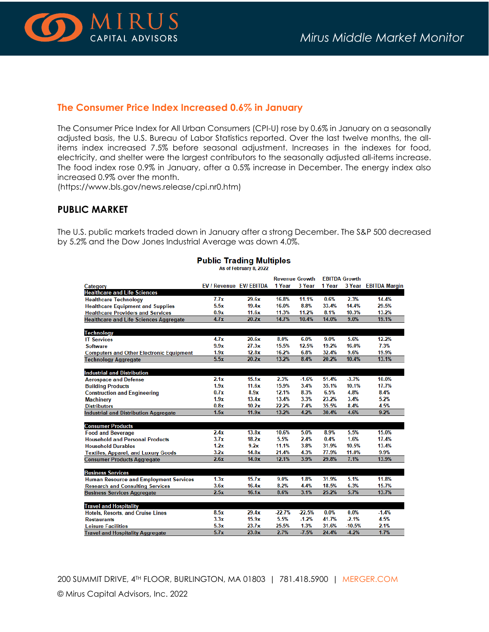

### **The Consumer Price Index Increased 0.6% in January**

The Consumer Price Index for All Urban Consumers (CPI-U) rose by 0.6% in January on a seasonally adjusted basis, the U.S. Bureau of Labor Statistics reported. Over the last twelve months, the allitems index increased 7.5% before seasonal adjustment. Increases in the indexes for food, electricity, and shelter were the largest contributors to the seasonally adjusted all-items increase. The food index rose 0.9% in January, after a 0.5% increase in December. The energy index also increased 0.9% over the month.

(https://www.bls.gov/news.release/cpi.nr0.htm)

### **PUBLIC MARKET**

The U.S. public markets traded down in January after a strong December. The S&P 500 decreased by 5.2% and the Dow Jones Industrial Average was down 4.0%.

|                                                 |                                |       | <b>Revenue Growth</b> |          | <b>EBITDA Growth</b> |          |                      |
|-------------------------------------------------|--------------------------------|-------|-----------------------|----------|----------------------|----------|----------------------|
| Category                                        | <b>EV / Revenue EV/ EBITDA</b> |       | 1 Year                | 3 Year   | 1 Year               |          | 3 Year EBITDA Margin |
| <b>Healthcare and Life Sciences</b>             |                                |       |                       |          |                      |          |                      |
| <b>Healthcare Technology</b>                    | 7.7x                           | 29.6x | 16.8%                 | 11.1%    | 0.6%                 | 2.3%     | 14.4%                |
| <b>Healthcare Equipment and Supplies</b>        | 5.5x                           | 19.4x | 16.0%                 | 8.8%     | 33.4%                | 14.4%    | 29.5%                |
| <b>Healthcare Providers and Services</b>        | 0.9x                           | 11.6x | 11.3%                 | 11.2%    | 8.1%                 | 10.3%    | 13.2%                |
| <b>Healthcare and Life Sciences Aggregate</b>   | 4.7x                           | 20.2x | 14.7%                 | 10.4%    | 14.0%                | 9.0%     | 19.1%                |
| <b>Technology</b>                               |                                |       |                       |          |                      |          |                      |
| <b>IT Services</b>                              | 4.7x                           | 20.6x | 8.0%                  | 6.0%     | 9.0%                 | 5.6%     | 12.2%                |
| <b>Software</b>                                 | 9.9x                           | 27.3x | 15.5%                 | 12.5%    | 19.2%                | 16.0%    | 7.3%                 |
| <b>Computers and Other Electronic Equipment</b> | 1.9x                           | 12.8x | 16.2%                 | 6.8%     | 32.4%                | 9.6%     | 19.9%                |
| <b>Technology Aggregate</b>                     | 5.5x                           | 20.2x | 13.2%                 | 8.4%     | 20.2%                | 10.4%    | 13.1%                |
|                                                 |                                |       |                       |          |                      |          |                      |
| <b>Industrial and Distribution</b>              |                                |       |                       |          |                      |          |                      |
| <b>Aerospace and Defense</b>                    | 2.1x                           | 15.1x | 2.3%                  | $-1.6%$  | 51.4%                | $-3.7%$  | 10.0%                |
| <b>Building Products</b>                        | 1.9x                           | 11.6x | 15.9%                 | 3.4%     | 35.1%                | 10.1%    | 17.7%                |
| <b>Construction and Engineering</b>             | 0.7x                           | 8.9x  | 12.1%                 | 8.3%     | 6.5%                 | 4.8%     | 8.4%                 |
| <b>Machinery</b>                                | 1.9x                           | 13.4x | 13.4%                 | 3.3%     | 23.2%                | 3.4%     | 5.2%                 |
| <b>Distributors</b>                             | 0.8x                           | 10.2x | 22.2%                 | 7.4%     | 35.5%                | 8.4%     | 4.5%                 |
| <b>Industrial and Distribution Aggregate</b>    | 1.5x                           | 11.9x | 13.2%                 | 4.2%     | 30.4%                | 4.6%     | 9.2%                 |
|                                                 |                                |       |                       |          |                      |          |                      |
| <b>Consumer Products</b>                        |                                |       |                       |          |                      |          |                      |
| <b>Food and Beverage</b>                        | 2.4x                           | 13.8x | 10.6%                 | 5.0%     | 8.9%                 | 5.5%     | 15.0%                |
| <b>Household and Personal Products</b>          | 3.7x                           | 18.2x | 5.5%                  | 2.4%     | 0.4%                 | 1.6%     | 17.4%                |
| <b>Household Durables</b>                       | 1.2x                           | 9.2x  | 11.1%                 | 3.8%     | 31.9%                | 10.5%    | 13.4%                |
| <b>Textiles, Apparel, and Luxury Goods</b>      | 3.2x                           | 14.8x | 21.4%                 | 4.3%     | 77.9%                | 11.0%    | 9.9%                 |
| <b>Consumer Products Aggregate</b>              | 2.6x                           | 14.0x | 12.1%                 | 3.9%     | 29.8%                | 7.1%     | 13.9%                |
|                                                 |                                |       |                       |          |                      |          |                      |
| <b>Business Services</b>                        |                                |       |                       |          |                      |          |                      |
| <b>Human Resource and Employment Services</b>   | 1.3x                           | 15.7x | 9.0%                  | 1.8%     | 31.9%                | 5.1%     | 11.8%                |
| <b>Research and Consulting Services</b>         | 3.6x                           | 16.4x | 8.2%                  | 4.4%     | 18.5%                | 6.3%     | 15.7%                |
| <b>Business Services Aggregate</b>              | 2.5x                           | 16.1x | 8.6%                  | 3.1%     | 25.2%                | 5.7%     | 13.7%                |
|                                                 |                                |       |                       |          |                      |          |                      |
| <b>Travel and Hospitality</b>                   |                                |       |                       |          |                      |          |                      |
| <b>Hotels, Resorts, and Cruise Lines</b>        | 8.5x                           | 29.4x | $-22.7%$              | $-22.5%$ | 0.0%                 | 0.0%     | $-1.4%$              |
| <b>Restaurants</b>                              | 3.3x                           | 15.9x | 5.5%                  | $-1.2%$  | 41.7%                | $-2.1%$  | 4.5%                 |
| <b>Leisure Facilities</b>                       | 5.3x                           | 23.7x | 25.5%                 | 1.3%     | 31.6%                | $-10.5%$ | 2.1%                 |
| <b>Travel and Hospitality Angregate</b>         | 5.7x                           | 23.0x | 2.7%                  | $-7.5%$  | 24.4%                | 4.2%     | 1.7%                 |

#### **Public Trading Multiples** As of February 8, 2022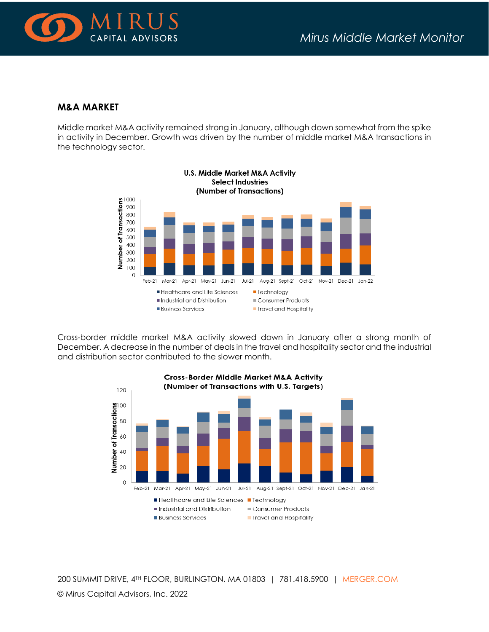

## **M&A MARKET**

Middle market M&A activity remained strong in January, although down somewhat from the spike in activity in December. Growth was driven by the number of middle market M&A transactions in the technology sector.



Cross-border middle market M&A activity slowed down in January after a strong month of December. A decrease in the number of deals in the travel and hospitality sector and the industrial and distribution sector contributed to the slower month.



200 SUMMIT DRIVE, 4TH FLOOR, BURLINGTON, MA 01803 | 781.418.5900 | [MERGER.COM](http://www.merger.com/)

© Mirus Capital Advisors, Inc. 2022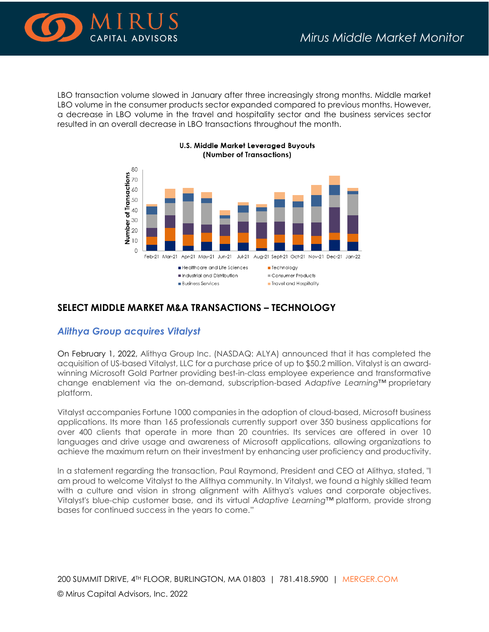

LBO transaction volume slowed in January after three increasingly strong months. Middle market LBO volume in the consumer products sector expanded compared to previous months. However, a decrease in LBO volume in the travel and hospitality sector and the business services sector resulted in an overall decrease in LBO transactions throughout the month.



#### **U.S. Middle Market Leveraged Buyouts** (Number of Transactions)

# **SELECT MIDDLE MARKET M&A TRANSACTIONS – TECHNOLOGY**

# *Alithya Group acquires Vitalyst*

On February 1, 2022, Alithya Group Inc. (NASDAQ: ALYA) announced that it has completed the acquisition of US-based Vitalyst, LLC for a purchase price of up to \$50.2 million. Vitalyst is an awardwinning Microsoft Gold Partner providing best-in-class employee experience and transformative change enablement via the on-demand, subscription-based *Adaptive Learning™* proprietary platform.

Vitalyst accompanies Fortune 1000 companies in the adoption of cloud-based, Microsoft business applications. Its more than 165 professionals currently support over 350 business applications for over 400 clients that operate in more than 20 countries. Its services are offered in over 10 languages and drive usage and awareness of Microsoft applications, allowing organizations to achieve the maximum return on their investment by enhancing user proficiency and productivity.

In a statement regarding the transaction, Paul Raymond, President and CEO at Alithya, stated, "I am proud to welcome Vitalyst to the Alithya community. In Vitalyst, we found a highly skilled team with a culture and vision in strong alignment with Alithya's values and corporate objectives. Vitalyst's blue-chip customer base, and its virtual *Adaptive Learning™* platform, provide strong bases for continued success in the years to come."

200 SUMMIT DRIVE, 4TH FLOOR, BURLINGTON, MA 01803 | 781.418.5900 | [MERGER.COM](http://www.merger.com/) © Mirus Capital Advisors, Inc. 2022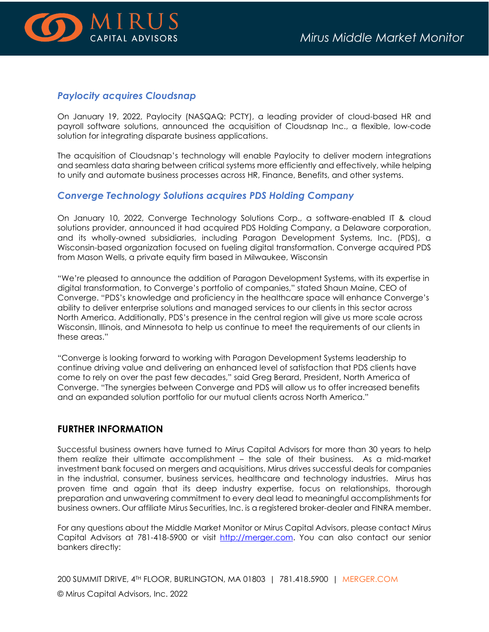

#### *Paylocity acquires Cloudsnap*

On January 19, 2022, Paylocity (NASQAQ: PCTY), a leading provider of cloud-based HR and payroll software solutions, announced the acquisition of Cloudsnap Inc., a flexible, low-code solution for integrating disparate business applications.

The acquisition of Cloudsnap's technology will enable Paylocity to deliver modern integrations and seamless data sharing between critical systems more efficiently and effectively, while helping to unify and automate business processes across HR, Finance, Benefits, and other systems.

### *Converge Technology Solutions acquires PDS Holding Company*

On January 10, 2022, Converge Technology Solutions Corp., a software-enabled IT & cloud solutions provider, announced it had acquired PDS Holding Company, a Delaware corporation, and its wholly-owned subsidiaries, including Paragon Development Systems, Inc. (PDS), a Wisconsin-based organization focused on fueling digital transformation. Converge acquired PDS from Mason Wells, a private equity firm based in Milwaukee, Wisconsin

"We're pleased to announce the addition of Paragon Development Systems, with its expertise in digital transformation, to Converge's portfolio of companies," stated Shaun Maine, CEO of Converge. "PDS's knowledge and proficiency in the healthcare space will enhance Converge's ability to deliver enterprise solutions and managed services to our clients in this sector across North America. Additionally, PDS's presence in the central region will give us more scale across Wisconsin, Illinois, and Minnesota to help us continue to meet the requirements of our clients in these areas."

"Converge is looking forward to working with Paragon Development Systems leadership to continue driving value and delivering an enhanced level of satisfaction that PDS clients have come to rely on over the past few decades," said Greg Berard, President, North America of Converge. "The synergies between Converge and PDS will allow us to offer increased benefits and an expanded solution portfolio for our mutual clients across North America."

#### **FURTHER INFORMATION**

Successful business owners have turned to Mirus Capital Advisors for more than 30 years to help them realize their ultimate accomplishment – the sale of their business. As a mid-market investment bank focused on mergers and acquisitions, Mirus drives successful deals for companies in the industrial, consumer, business services, healthcare and technology industries. Mirus has proven time and again that its deep industry expertise, focus on relationships, thorough preparation and unwavering commitment to every deal lead to meaningful accomplishments for business owners. Our affiliate Mirus Securities, Inc. is a registered broker-dealer and FINRA member.

For any questions about the Middle Market Monitor or Mirus Capital Advisors, please contact Mirus Capital Advisors at 781-418-5900 or visit [http://merger.com.](http://merger.com/) You can also contact our senior bankers directly:

200 SUMMIT DRIVE, 4TH FLOOR, BURLINGTON, MA 01803 | 781.418.5900 | [MERGER.COM](http://www.merger.com/) © Mirus Capital Advisors, Inc. 2022